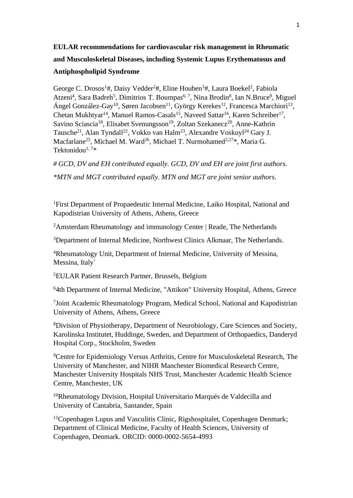# **EULAR recommendations for cardiovascular risk management in Rheumatic and Musculoskeletal Diseases, including Systemic Lupus Erythematosus and Antiphospholipid Syndrome**

George C. Drosos<sup>1</sup>#, Daisy Vedder<sup>2</sup>#, Eline Houben<sup>3</sup>#, Laura Boekel<sup>2</sup>, Fabiola Atzeni<sup>4</sup>, Sara Badreh<sup>5</sup>, Dimitrios T. Boumpas<sup>6, 7</sup>, Nina Brodin<sup>8</sup>, Ian N.Bruce<sup>9</sup>, Miguel Ángel González-Gay<sup>10</sup>, Søren Jacobsen<sup>11</sup>, György Kerekes<sup>12</sup>, Francesca Marchiori<sup>13</sup>, Chetan Mukhtyar<sup>14</sup>, Manuel Ramos-Casals<sup>15</sup>, Naveed Sattar<sup>16</sup>, Karen Schreiber<sup>17</sup>, Savino Sciascia<sup>18</sup>, Elisabet Svenungsson<sup>19</sup>, Zoltan Szekanecz<sup>20</sup>, Anne-Kathrin Tausche<sup>21</sup>, Alan Tyndall<sup>22</sup>, Vokko van Halm<sup>23</sup>, Alexandre Voskuyl<sup>24</sup> Gary J. Macfarlane<sup>25</sup>, Michael M. Ward<sup>26</sup>, Michael T. Nurmohamed<sup>2,27\*</sup>, Maria G. Tektonidou $1,7*$ 

*# GCD, DV and EH contributed equally. GCD, DV and EH are joint first authors.*

*\*MTN and MGT contributed equally. MTN and MGT are joint senior authors.*

<sup>1</sup>First Department of Propaedeutic Internal Medicine, Laiko Hospital, National and Kapodistrian University of Athens, Athens, Greece

<sup>2</sup>Amsterdam Rheumatology and immunology Center | Reade, The Netherlands

<sup>3</sup>Department of Internal Medicine, Northwest Clinics Alkmaar, The Netherlands.

<sup>4</sup>Rheumatology Unit, Department of Internal Medicine, University of Messina, Messina, Italy`

<sup>5</sup>EULAR Patient Research Partner, Brussels, Belgium

<sup>6</sup>4th Department of Internal Medicine, "Attikon" University Hospital, Athens, Greece

7 Joint Academic Rheumatology Program, Medical School, National and Kapodistrian University of Athens, Athens, Greece

<sup>8</sup>Division of Physiotherapy, Department of Neurobiology, Care Sciences and Society, Karolinska Institutet, Huddinge, Sweden, and Department of Orthopaedics, Danderyd Hospital Corp., Stockholm, Sweden

<sup>9</sup>Centre for Epidemiology Versus Arthritis, Centre for Musculoskeletal Research, The University of Manchester, and NIHR Manchester Biomedical Research Centre, Manchester University Hospitals NHS Trust, Manchester Academic Health Science Centre, Manchester, UK

<sup>10</sup>Rheumatology Division, Hospital Universitario Marqués de Valdecilla and University of Cantabria, Santander, Spain

<sup>11</sup>Copenhagen Lupus and Vasculitis Clinic, Rigshospitalet, Copenhagen Denmark; Department of Clinical Medicine, Faculty of Health Sciences, University of Copenhagen, Denmark. ORCID: 0000-0002-5654-4993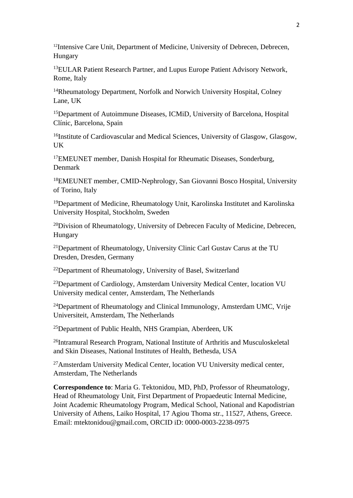<sup>12</sup>Intensive Care Unit, Department of Medicine, University of Debrecen, Debrecen, Hungary

<sup>13</sup>EULAR Patient Research Partner, and Lupus Europe Patient Advisory Network, Rome, Italy

<sup>14</sup>Rheumatology Department, Norfolk and Norwich University Hospital, Colney Lane, UK

<sup>15</sup>Department of Autoimmune Diseases, ICMiD, University of Barcelona, Hospital Clínic, Barcelona, Spain

<sup>16</sup>Institute of Cardiovascular and Medical Sciences, University of Glasgow, Glasgow, UK

<sup>17</sup>EMEUNET member, Danish Hospital for Rheumatic Diseases, Sonderburg, Denmark

<sup>18</sup>EMEUNET member, CMID-Nephrology, San Giovanni Bosco Hospital, University of Torino, Italy

<sup>19</sup>Department of Medicine, Rheumatology Unit, Karolinska Institutet and Karolinska University Hospital, Stockholm, Sweden

<sup>20</sup>Division of Rheumatology, University of Debrecen Faculty of Medicine, Debrecen, Hungary

<sup>21</sup>Department of Rheumatology, University Clinic Carl Gustav Carus at the TU Dresden, Dresden, Germany

<sup>22</sup>Department of Rheumatology, University of Basel, Switzerland

<sup>23</sup>Department of Cardiology, Amsterdam University Medical Center, location VU University medical center, Amsterdam, The Netherlands

<sup>24</sup>Department of Rheumatology and Clinical Immunology, Amsterdam UMC, Vrije Universiteit, Amsterdam, The Netherlands

<sup>25</sup>Department of Public Health, NHS Grampian, Aberdeen, UK

<sup>26</sup>Intramural Research Program, National Institute of Arthritis and Musculoskeletal and Skin Diseases, National Institutes of Health, Bethesda, USA

<sup>27</sup>Amsterdam University Medical Center, location VU University medical center, Amsterdam, The Netherlands

**Correspondence to**: Maria G. Tektonidou, MD, PhD, Professor of Rheumatology, Head of Rheumatology Unit, First Department of Propaedeutic Internal Medicine, Joint Academic Rheumatology Program, Medical School, National and Kapodistrian University of Athens, Laiko Hospital, 17 Agiou Thoma str., 11527, Athens, Greece. Email: mtektonidou@gmail.com, ORCID iD: 0000-0003-2238-0975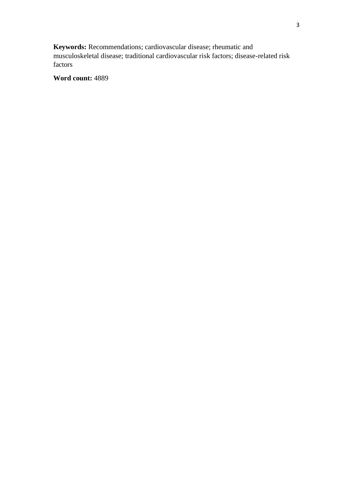**Keywords:** Recommendations; cardiovascular disease; rheumatic and musculoskeletal disease; traditional cardiovascular risk factors; disease-related risk factors

**Word count:** 4889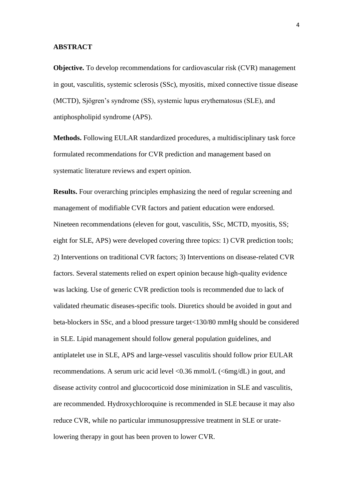## **ABSTRACT**

**Objective.** To develop recommendations for cardiovascular risk (CVR) management in gout, vasculitis, systemic sclerosis (SSc), myositis, mixed connective tissue disease (MCTD), Sjögren's syndrome (SS), systemic lupus erythematosus (SLE), and antiphospholipid syndrome (APS).

**Methods.** Following EULAR standardized procedures, a multidisciplinary task force formulated recommendations for CVR prediction and management based on systematic literature reviews and expert opinion.

**Results.** Four overarching principles emphasizing the need of regular screening and management of modifiable CVR factors and patient education were endorsed. Nineteen recommendations (eleven for gout, vasculitis, SSc, MCTD, myositis, SS; eight for SLE, APS) were developed covering three topics: 1) CVR prediction tools; 2) Interventions on traditional CVR factors; 3) Interventions on disease-related CVR factors. Several statements relied on expert opinion because high-quality evidence was lacking. Use of generic CVR prediction tools is recommended due to lack of validated rheumatic diseases-specific tools. Diuretics should be avoided in gout and beta-blockers in SSc, and a blood pressure target<130/80 mmHg should be considered in SLE. Lipid management should follow general population guidelines, and antiplatelet use in SLE, APS and large-vessel vasculitis should follow prior EULAR recommendations. A serum uric acid level  $\langle 0.36 \text{ mmol/L } (\langle 6 \text{ mg/dL} \rangle)$  in gout, and disease activity control and glucocorticoid dose minimization in SLE and vasculitis, are recommended. Hydroxychloroquine is recommended in SLE because it may also reduce CVR, while no particular immunosuppressive treatment in SLE or uratelowering therapy in gout has been proven to lower CVR.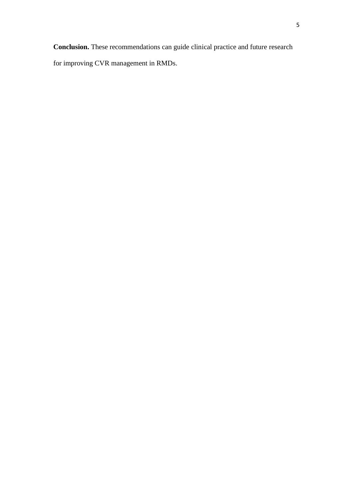**Conclusion.** These recommendations can guide clinical practice and future research for improving CVR management in RMDs.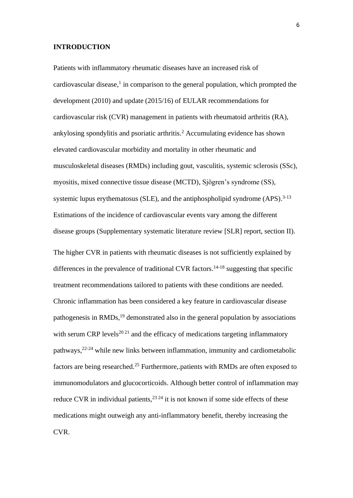## **INTRODUCTION**

Patients with inflammatory rheumatic diseases have an increased risk of cardiovascular disease, 1 in comparison to the general population, which prompted the development (2010) and update (2015/16) of EULAR recommendations for cardiovascular risk (CVR) management in patients with rheumatoid arthritis (RA), ankylosing spondylitis and psoriatic arthritis.<sup>2</sup> Accumulating evidence has shown elevated cardiovascular morbidity and mortality in other rheumatic and musculoskeletal diseases (RMDs) including gout, vasculitis, systemic sclerosis (SSc), myositis, mixed connective tissue disease (MCTD), Sjögren's syndrome (SS), systemic lupus erythematosus (SLE), and the antiphospholipid syndrome (APS).<sup>3-13</sup> Estimations of the incidence of cardiovascular events vary among the different disease groups (Supplementary systematic literature review [SLR] report, section II). The higher CVR in patients with rheumatic diseases is not sufficiently explained by differences in the prevalence of traditional CVR factors. 14-18 suggesting that specific treatment recommendations tailored to patients with these conditions are needed. Chronic inflammation has been considered a key feature in cardiovascular disease pathogenesis in RMDs,<sup>19</sup> demonstrated also in the general population by associations with serum CRP levels<sup>20.21</sup> and the efficacy of medications targeting inflammatory pathways, 22-24 while new links between inflammation, immunity and cardiometabolic factors are being researched.<sup>25</sup> Furthermore, patients with RMDs are often exposed to immunomodulators and glucocorticoids. Although better control of inflammation may reduce CVR in individual patients,  $2^{324}$  it is not known if some side effects of these medications might outweigh any anti-inflammatory benefit, thereby increasing the CVR.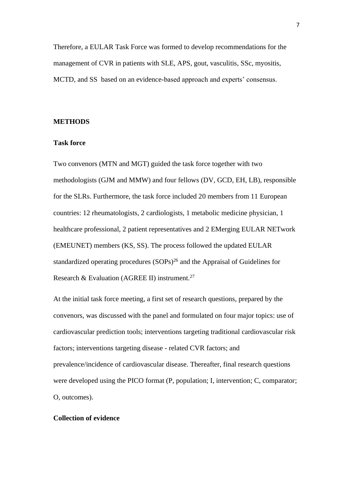Therefore, a EULAR Task Force was formed to develop recommendations for the management of CVR in patients with SLE, APS, gout, vasculitis, SSc, myositis, MCTD, and SS based on an evidence-based approach and experts' consensus.

# **METHODS**

## **Task force**

Two convenors (MTN and MGT) guided the task force together with two methodologists (GJM and MMW) and four fellows (DV, GCD, EH, LB), responsible for the SLRs. Furthermore, the task force included 20 members from 11 European countries: 12 rheumatologists, 2 cardiologists, 1 metabolic medicine physician, 1 healthcare professional, 2 patient representatives and 2 EMerging EULAR NETwork (EMEUNET) members (KS, SS). The process followed the updated EULAR standardized operating procedures (SOPs)<sup>26</sup> and the Appraisal of Guidelines for Research & Evaluation (AGREE II) instrument.<sup>27</sup>

At the initial task force meeting, a first set of research questions, prepared by the convenors, was discussed with the panel and formulated on four major topics: use of cardiovascular prediction tools; interventions targeting traditional cardiovascular risk factors; interventions targeting disease - related CVR factors; and prevalence/incidence of cardiovascular disease. Thereafter, final research questions were developed using the PICO format (P, population; I, intervention; C, comparator; O, outcomes).

# **Collection of evidence**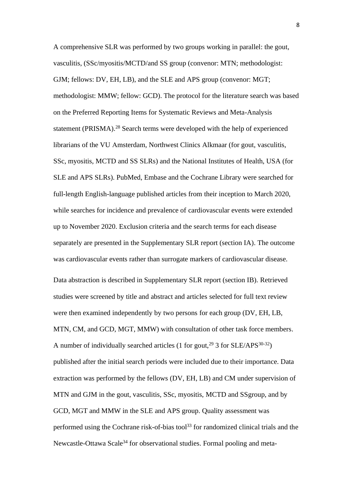A comprehensive SLR was performed by two groups working in parallel: the gout, vasculitis, (SSc/myositis/MCTD/and SS group (convenor: MTN; methodologist: GJM; fellows: DV, EH, LB), and the SLE and APS group (convenor: MGT; methodologist: MMW; fellow: GCD). The protocol for the literature search was based on the Preferred Reporting Items for Systematic Reviews and Meta-Analysis statement (PRISMA). <sup>28</sup> Search terms were developed with the help of experienced librarians of the VU Αmsterdam, Northwest Clinics Alkmaar (for gout, vasculitis, SSc, myositis, MCTD and SS SLRs) and the National Institutes of Health, USA (for SLE and APS SLRs). PubMed, Embase and the Cochrane Library were searched for full-length English-language published articles from their inception to March 2020, while searches for incidence and prevalence of cardiovascular events were extended up to November 2020. Exclusion criteria and the search terms for each disease separately are presented in the Supplementary SLR report (section IA). The outcome was cardiovascular events rather than surrogate markers of cardiovascular disease.

Data abstraction is described in Supplementary SLR report (section IB). Retrieved studies were screened by title and abstract and articles selected for full text review were then examined independently by two persons for each group (DV, EH, LB, MTN, CM, and GCD, MGT, MMW) with consultation of other task force members. A number of individually searched articles (1 for gout,  $^{29}$  3 for SLE/APS<sup>30-32</sup>) published after the initial search periods were included due to their importance. Data extraction was performed by the fellows (DV, EH, LB) and CM under supervision of MTN and GJM in the gout, vasculitis, SSc, myositis, MCTD and SSgroup, and by GCD, MGT and MMW in the SLE and APS group. Quality assessment was performed using the Cochrane risk-of-bias tool<sup>33</sup> for randomized clinical trials and the Newcastle-Ottawa Scale<sup>34</sup> for observational studies. Formal pooling and meta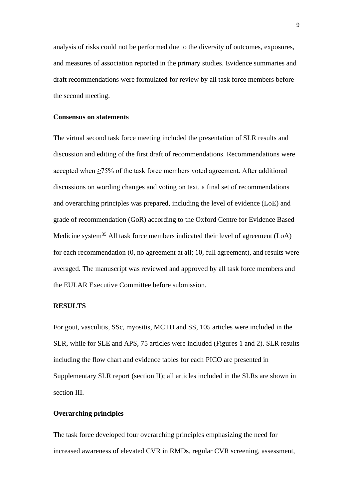analysis of risks could not be performed due to the diversity of outcomes, exposures, and measures of association reported in the primary studies. Evidence summaries and draft recommendations were formulated for review by all task force members before the second meeting.

## **Consensus on statements**

The virtual second task force meeting included the presentation of SLR results and discussion and editing of the first draft of recommendations. Recommendations were accepted when ≥75% of the task force members voted agreement. After additional discussions on wording changes and voting on text, a final set of recommendations and overarching principles was prepared, including the level of evidence (LoE) and grade of recommendation (GoR) according to the Oxford Centre for Evidence Based Medicine system<sup>35</sup> All task force members indicated their level of agreement (LoA) for each recommendation (0, no agreement at all; 10, full agreement), and results were averaged. The manuscript was reviewed and approved by all task force members and the EULAR Executive Committee before submission.

#### **RESULTS**

For gout, vasculitis, SSc, myositis, MCTD and SS, 105 articles were included in the SLR, while for SLE and APS, 75 articles were included (Figures 1 and 2). SLR results including the flow chart and evidence tables for each PICO are presented in Supplementary SLR report (section II); all articles included in the SLRs are shown in section III.

## **Overarching principles**

The task force developed four overarching principles emphasizing the need for increased awareness of elevated CVR in RMDs, regular CVR screening, assessment,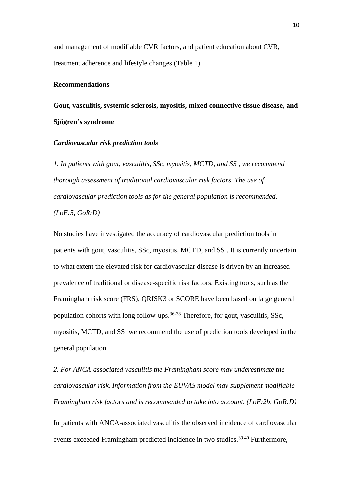and management of modifiable CVR factors, and patient education about CVR, treatment adherence and lifestyle changes (Table 1).

## **Recommendations**

**Gout, vasculitis, systemic sclerosis, myositis, mixed connective tissue disease, and Sjögren's syndrome**

#### *Cardiovascular risk prediction tools*

*1. In patients with gout, vasculitis, SSc, myositis, MCTD, and SS , we recommend thorough assessment of traditional cardiovascular risk factors. The use of cardiovascular prediction tools as for the general population is recommended. (LoE:5, GoR:D)* 

No studies have investigated the accuracy of cardiovascular prediction tools in patients with gout, vasculitis, SSc, myositis, MCTD, and SS . It is currently uncertain to what extent the elevated risk for cardiovascular disease is driven by an increased prevalence of traditional or disease-specific risk factors. Existing tools, such as the Framingham risk score (FRS), QRISK3 or SCORE have been based on large general population cohorts with long follow-ups. 36-38 Therefore, for gout, vasculitis, SSc, myositis, MCTD, and SS we recommend the use of prediction tools developed in the general population*.*

*2. For ANCA-associated vasculitis the Framingham score may underestimate the cardiovascular risk. Information from the EUVAS model may supplement modifiable Framingham risk factors and is recommended to take into account. (LoE:2b, GoR:D)* In patients with ANCA-associated vasculitis the observed incidence of cardiovascular events exceeded Framingham predicted incidence in two studies.39 40 Furthermore,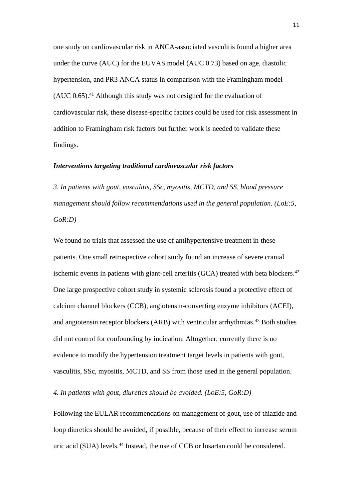one study on cardiovascular risk in ANCA-associated vasculitis found a higher area under the curve (AUC) for the EUVAS model (AUC 0.73) based on age, diastolic hypertension, and PR3 ANCA status in comparison with the Framingham model  $(AUC 0.65)$ <sup>41</sup> Although this study was not designed for the evaluation of cardiovascular risk, these disease-specific factors could be used for risk assessment in addition to Framingham risk factors but further work is needed to validate these findings.

## *Interventions targeting traditional cardiovascular risk factors*

*3. In patients with gout, vasculitis, SSc, myositis, MCTD, and SS, blood pressure management should follow recommendations used in the general population. (LoE:5, GoR:D)*

We found no trials that assessed the use of antihypertensive treatment in these patients. One small retrospective cohort study found an increase of severe cranial ischemic events in patients with giant-cell arteritis (GCA) treated with beta blockers.<sup>42</sup> One large prospective cohort study in systemic sclerosis found a protective effect of calcium channel blockers (CCB), angiotensin-converting enzyme inhibitors (ACEI), and angiotensin receptor blockers (ARB) with ventricular arrhythmias.<sup>43</sup> Both studies did not control for confounding by indication. Altogether, currently there is no evidence to modify the hypertension treatment target levels in patients with gout, vasculitis, SSc, myositis, MCTD, and SS from those used in the general population.

*4. In patients with gout, diuretics should be avoided. (LoE:5, GoR:D)*

Following the EULAR recommendations on management of gout, use of thiazide and loop diuretics should be avoided, if possible, because of their effect to increase serum uric acid (SUA) levels.<sup>44</sup> Instead, the use of CCB or losartan could be considered.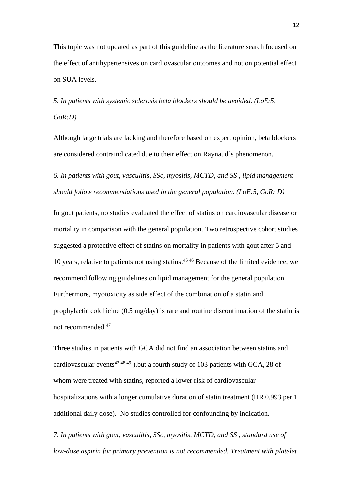This topic was not updated as part of this guideline as the literature search focused on the effect of antihypertensives on cardiovascular outcomes and not on potential effect on SUA levels.

*5. In patients with systemic sclerosis beta blockers should be avoided. (LoE:5, GoR:D)*

Although large trials are lacking and therefore based on expert opinion, beta blockers are considered contraindicated due to their effect on Raynaud's phenomenon.

*6. In patients with gout, vasculitis, SSc, myositis, MCTD, and SS , lipid management should follow recommendations used in the general population. (LoE:5, GoR: D)*

In gout patients, no studies evaluated the effect of statins on cardiovascular disease or mortality in comparison with the general population. Two retrospective cohort studies suggested a protective effect of statins on mortality in patients with gout after 5 and 10 years, relative to patients not using statins. 45 46 Because of the limited evidence, we recommend following guidelines on lipid management for the general population. Furthermore, myotoxicity as side effect of the combination of a statin and prophylactic colchicine (0.5 mg/day) is rare and routine discontinuation of the statin is not recommended. 47

Three studies in patients with GCA did not find an association between statins and cardiovascular events<sup>42 48 49</sup>).but a fourth study of 103 patients with GCA, 28 of whom were treated with statins, reported a lower risk of cardiovascular hospitalizations with a longer cumulative duration of statin treatment (HR 0.993 per 1 additional daily dose). No studies controlled for confounding by indication.

*7. In patients with gout, vasculitis, SSc, myositis, MCTD, and SS , standard use of low-dose aspirin for primary prevention is not recommended. Treatment with platelet*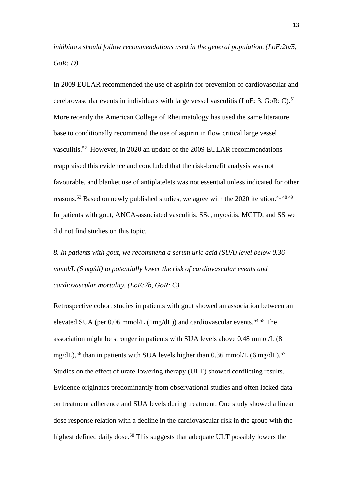*inhibitors should follow recommendations used in the general population. (LoE:2b/5, GoR: D)*

In 2009 EULAR recommended the use of aspirin for prevention of cardiovascular and cerebrovascular events in individuals with large vessel vasculitis (LoE:  $3$ , GoR: C).<sup>51</sup> More recently the American College of Rheumatology has used the same literature base to conditionally recommend the use of aspirin in flow critical large vessel vasculitis.<sup>52</sup> However, in 2020 an update of the 2009 EULAR recommendations reappraised this evidence and concluded that the risk-benefit analysis was not favourable, and blanket use of antiplatelets was not essential unless indicated for other reasons.<sup>53</sup> Based on newly published studies, we agree with the 2020 iteration.<sup>41 48 49</sup> In patients with gout, ANCA-associated vasculitis, SSc, myositis, MCTD, and SS we did not find studies on this topic.

*8. In patients with gout, we recommend a serum uric acid (SUA) level below 0.36 mmol/L (6 mg/dl) to potentially lower the risk of cardiovascular events and cardiovascular mortality. (LoE:2b, GoR: C)*

Retrospective cohort studies in patients with gout showed an association between an elevated SUA (per 0.06 mmol/L (1mg/dL)) and cardiovascular events.<sup>54 55</sup> The association might be stronger in patients with SUA levels above 0.48 mmol/L (8 mg/dL),<sup>56</sup> than in patients with SUA levels higher than 0.36 mmol/L (6 mg/dL).<sup>57</sup> Studies on the effect of urate-lowering therapy (ULT) showed conflicting results. Evidence originates predominantly from observational studies and often lacked data on treatment adherence and SUA levels during treatment. One study showed a linear dose response relation with a decline in the cardiovascular risk in the group with the highest defined daily dose.<sup>58</sup> This suggests that adequate ULT possibly lowers the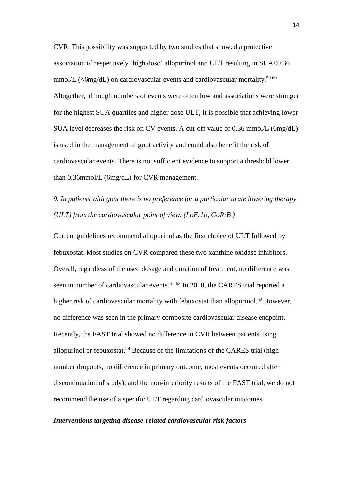CVR. This possibility was supported by two studies that showed a protective association of respectively 'high dose' allopurinol and ULT resulting in SUA<0.36 mmol/L ( $\leq$ 6mg/dL) on cardiovascular events and cardiovascular mortality.<sup>59 60</sup> Altogether, although numbers of events were often low and associations were stronger for the highest SUA quartiles and higher dose ULT, it is possible that achieving lower SUA level decreases the risk on CV events. A cut-off value of 0.36 mmol/L (6mg/dL) is used in the management of gout activity and could also benefit the risk of cardiovascular events. There is not sufficient evidence to support a threshold lower than 0.36mmol/L (6mg/dL) for CVR management.

*9. In patients with gout there is no preference for a particular urate lowering therapy (ULT) from the cardiovascular point of view. (LoE:1b, GoR:B )*

Current guidelines recommend allopurinol as the first choice of ULT followed by febuxostat. Most studies on CVR compared these two xanthine oxidase inhibitors. Overall, regardless of the used dosage and duration of treatment, no difference was seen in number of cardiovascular events.<sup>61-63</sup> In 2018, the CARES trial reported a higher risk of cardiovascular mortality with febuxostat than allopurinol.<sup>62</sup> However, no difference was seen in the primary composite cardiovascular disease endpoint. Recently, the FAST trial showed no difference in CVR between patients using allopurinol or febuxostat.<sup>29</sup> Because of the limitations of the CARES trial (high number dropouts, no difference in primary outcome, most events occurred after discontinuation of study), and the non-inferiority results of the FAST trial, we do not recommend the use of a specific ULT regarding cardiovascular outcomes.

## *Interventions targeting disease-related cardiovascular risk factors*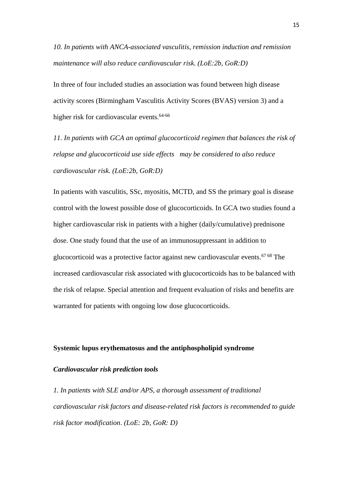*10. In patients with ANCA-associated vasculitis, remission induction and remission maintenance will also reduce cardiovascular risk. (LoE:2b, GoR:D)*

In three of four included studies an association was found between high disease activity scores (Birmingham Vasculitis Activity Scores (BVAS) version 3) and a higher risk for cardiovascular events.<sup>64-66</sup>

*11. In patients with GCA an optimal glucocorticoid regimen that balances the risk of relapse and glucocorticoid use side effects may be considered to also reduce cardiovascular risk. (LoE:2b, GoR:D)*

In patients with vasculitis, SSc, myositis, MCTD, and SS the primary goal is disease control with the lowest possible dose of glucocorticoids. In GCA two studies found a higher cardiovascular risk in patients with a higher (daily/cumulative) prednisone dose. One study found that the use of an immunosuppressant in addition to glucocorticoid was a protective factor against new cardiovascular events.<sup>67 68</sup> The increased cardiovascular risk associated with glucocorticoids has to be balanced with the risk of relapse. Special attention and frequent evaluation of risks and benefits are warranted for patients with ongoing low dose glucocorticoids.

## **Systemic lupus erythematosus and the antiphospholipid syndrome**

#### *Cardiovascular risk prediction tools*

*1. In patients with SLE and/or APS, a thorough assessment of traditional cardiovascular risk factors and disease-related risk factors is recommended to guide risk factor modification*. *(LoE: 2b, GoR: D)*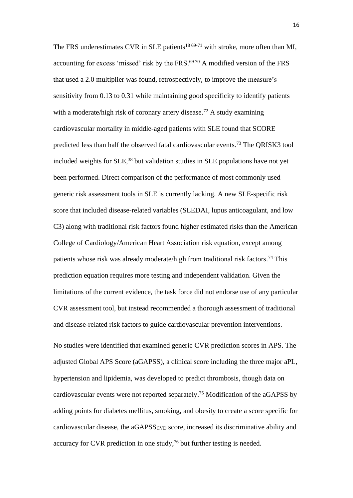The FRS underestimates CVR in SLE patients<sup>18 69-71</sup> with stroke, more often than MI, accounting for excess 'missed' risk by the FRS. 69 70 A modified version of the FRS that used a 2.0 multiplier was found, retrospectively, to improve the measure's sensitivity from 0.13 to 0.31 while maintaining good specificity to identify patients with a moderate/high risk of coronary artery disease.<sup>72</sup> A study examining cardiovascular mortality in middle-aged patients with SLE found that SCORE predicted less than half the observed fatal cardiovascular events.<sup>73</sup> The QRISK3 tool included weights for SLE,<sup>38</sup> but validation studies in SLE populations have not yet been performed. Direct comparison of the performance of most commonly used generic risk assessment tools in SLE is currently lacking. A new SLE-specific risk score that included disease-related variables (SLEDAI, lupus anticoagulant, and low C3) along with traditional risk factors found higher estimated risks than the American College of Cardiology/American Heart Association risk equation, except among patients whose risk was already moderate/high from traditional risk factors.<sup>74</sup> This prediction equation requires more testing and independent validation. Given the limitations of the current evidence, the task force did not endorse use of any particular CVR assessment tool, but instead recommended a thorough assessment of traditional and disease-related risk factors to guide cardiovascular prevention interventions.

No studies were identified that examined generic CVR prediction scores in APS. The adjusted Global APS Score (aGAPSS), a clinical score including the three major aPL, hypertension and lipidemia, was developed to predict thrombosis, though data on cardiovascular events were not reported separately. <sup>75</sup> Modification of the aGAPSS by adding points for diabetes mellitus, smoking, and obesity to create a score specific for cardiovascular disease, the aGAPSSCVD score, increased its discriminative ability and accuracy for CVR prediction in one study,<sup>76</sup> but further testing is needed.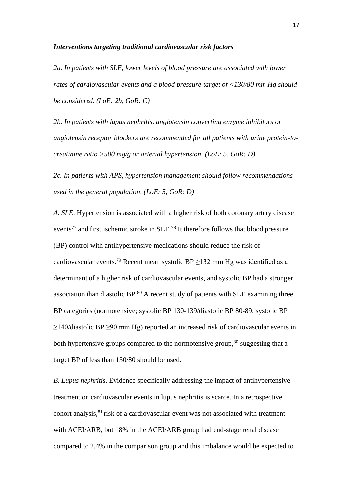### *Interventions targeting traditional cardiovascular risk factors*

*2a. In patients with SLE, lower levels of blood pressure are associated with lower rates of cardiovascular events and a blood pressure target of <130/80 mm Hg should be considered*. *(LoE: 2b, GoR: C)*

*2b. In patients with lupus nephritis, angiotensin converting enzyme inhibitors or angiotensin receptor blockers are recommended for all patients with urine protein-tocreatinine ratio >500 mg/g or arterial hypertension*. *(LoE: 5, GoR: D)*

*2c. In patients with APS, hypertension management should follow recommendations used in the general population*. *(LoE: 5, GoR: D)*

*A. SLE*. Hypertension is associated with a higher risk of both coronary artery disease events<sup>77</sup> and first ischemic stroke in SLE.<sup>78</sup> It therefore follows that blood pressure (BP) control with antihypertensive medications should reduce the risk of cardiovascular events.<sup>79</sup> Recent mean systolic BP  $\geq$ 132 mm Hg was identified as a determinant of a higher risk of cardiovascular events, and systolic BP had a stronger association than diastolic BP.<sup>80</sup> A recent study of patients with SLE examining three BP categories (normotensive; systolic BP 130-139/diastolic BP 80-89; systolic BP ≥140/diastolic BP ≥90 mm Hg) reported an increased risk of cardiovascular events in both hypertensive groups compared to the normotensive group,  $30$  suggesting that a target BP of less than 130/80 should be used.

*B. Lupus nephritis*. Evidence specifically addressing the impact of antihypertensive treatment on cardiovascular events in lupus nephritis is scarce. In a retrospective cohort analysis,<sup>81</sup> risk of a cardiovascular event was not associated with treatment with ACEI/ARB, but 18% in the ACEI/ARB group had end-stage renal disease compared to 2.4% in the comparison group and this imbalance would be expected to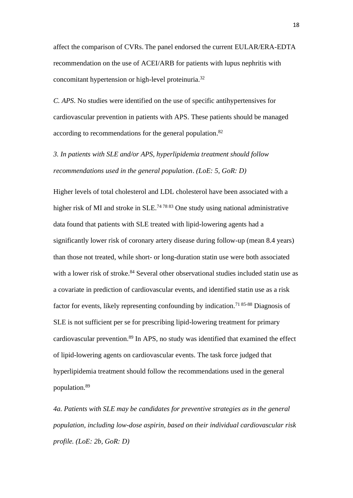affect the comparison of CVRs. The panel endorsed the current EULAR/ERA-EDTA recommendation on the use of ACEI/ARB for patients with lupus nephritis with concomitant hypertension or high-level proteinuria.<sup>32</sup>

*C. APS*. No studies were identified on the use of specific antihypertensives for cardiovascular prevention in patients with APS. These patients should be managed according to recommendations for the general population.<sup>82</sup>

*3. In patients with SLE and/or APS, hyperlipidemia treatment should follow recommendations used in the general population*. *(LoE: 5, GoR: D)*

Higher levels of total cholesterol and LDL cholesterol have been associated with a higher risk of MI and stroke in SLE.<sup>74 78 83</sup> One study using national administrative data found that patients with SLE treated with lipid-lowering agents had a significantly lower risk of coronary artery disease during follow-up (mean 8.4 years) than those not treated, while short- or long-duration statin use were both associated with a lower risk of stroke.<sup>84</sup> Several other observational studies included statin use as a covariate in prediction of cardiovascular events, and identified statin use as a risk factor for events, likely representing confounding by indication.<sup>71 85-88</sup> Diagnosis of SLE is not sufficient per se for prescribing lipid-lowering treatment for primary cardiovascular prevention.<sup>89</sup> In APS, no study was identified that examined the effect of lipid-lowering agents on cardiovascular events. The task force judged that hyperlipidemia treatment should follow the recommendations used in the general population.<sup>89</sup>

*4a. Patients with SLE may be candidates for preventive strategies as in the general population, including low-dose aspirin, based on their individual cardiovascular risk profile. (LoE: 2b, GoR: D)*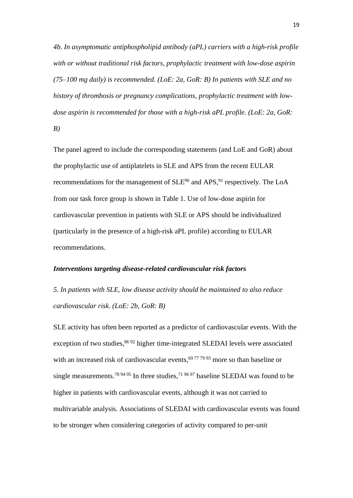*4b. In asymptomatic antiphospholipid antibody (aPL) carriers with a high-risk profile with or without traditional risk factors, prophylactic treatment with low-dose aspirin (75–100 mg daily) is recommended. (LoE: 2a, GoR: B) In patients with SLE and no history of thrombosis or pregnancy complications, prophylactic treatment with lowdose aspirin is recommended for those with a high-risk aPL profile. (LoE: 2a, GoR: B)*

The panel agreed to include the corresponding statements (and LoE and GoR) about the prophylactic use of antiplatelets in SLE and APS from the recent EULAR recommendations for the management of  $SLE<sup>90</sup>$  and APS, <sup>91</sup> respectively. The LoA from our task force group is shown in Table 1. Use of low-dose aspirin for cardiovascular prevention in patients with SLE or APS should be individualized (particularly in the presence of a high-risk aPL profile) according to EULAR recommendations.

#### *Interventions targeting disease-related cardiovascular risk factors*

*5. In patients with SLE, low disease activity should be maintained to also reduce cardiovascular risk*. *(LoE: 2b, GoR: B)*

SLE activity has often been reported as a predictor of cardiovascular events. With the exception of two studies,<sup>86 92</sup> higher time-integrated SLEDAI levels were associated with an increased risk of cardiovascular events,<sup>69 77 79 93</sup> more so than baseline or single measurements.<sup>78 94 95</sup> In three studies,<sup>71 96 97</sup> baseline SLEDAI was found to be higher in patients with cardiovascular events, although it was not carried to multivariable analysis. Associations of SLEDAI with cardiovascular events was found to be stronger when considering categories of activity compared to per-unit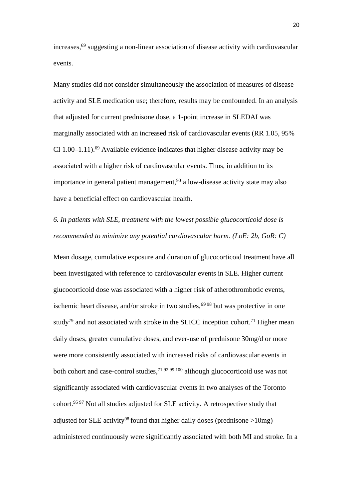increases,<sup>69</sup> suggesting a non-linear association of disease activity with cardiovascular events.

Many studies did not consider simultaneously the association of measures of disease activity and SLE medication use; therefore, results may be confounded. In an analysis that adjusted for current prednisone dose, a 1-point increase in SLEDAI was marginally associated with an increased risk of cardiovascular events (RR 1.05, 95% CI 1.00–1.11).<sup>69</sup> Available evidence indicates that higher disease activity may be associated with a higher risk of cardiovascular events. Thus, in addition to its importance in general patient management, $90$  a low-disease activity state may also have a beneficial effect on cardiovascular health.

*6. In patients with SLE, treatment with the lowest possible glucocorticoid dose is recommended to minimize any potential cardiovascular harm*. *(LoE: 2b, GoR: C)*

Mean dosage, cumulative exposure and duration of glucocorticoid treatment have all been investigated with reference to cardiovascular events in SLE. Higher current glucocorticoid dose was associated with a higher risk of atherothrombotic events, ischemic heart disease, and/or stroke in two studies,  $69\,98$  but was protective in one study<sup>79</sup> and not associated with stroke in the SLICC inception cohort.<sup>71</sup> Higher mean daily doses, greater cumulative doses, and ever-use of prednisone 30mg/d or more were more consistently associated with increased risks of cardiovascular events in both cohort and case-control studies,71 92 99 100 although glucocorticoid use was not significantly associated with cardiovascular events in two analyses of the Toronto cohort.95 97 Not all studies adjusted for SLE activity. A retrospective study that adjusted for SLE activity<sup>98</sup> found that higher daily doses (prednisone  $>10$ mg) administered continuously were significantly associated with both MI and stroke. In a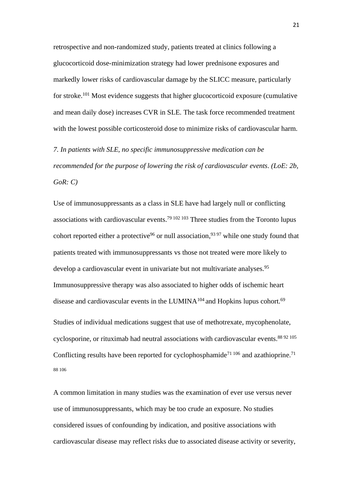retrospective and non-randomized study, patients treated at clinics following a glucocorticoid dose-minimization strategy had lower prednisone exposures and markedly lower risks of cardiovascular damage by the SLICC measure, particularly for stroke.<sup>101</sup> Most evidence suggests that higher glucocorticoid exposure (cumulative and mean daily dose) increases CVR in SLE. The task force recommended treatment with the lowest possible corticosteroid dose to minimize risks of cardiovascular harm.

*7. In patients with SLE, no specific immunosuppressive medication can be recommended for the purpose of lowering the risk of cardiovascular events*. *(LoE: 2b, GoR: C)*

Use of immunosuppressants as a class in SLE have had largely null or conflicting associations with cardiovascular events.<sup>79 102 103</sup> Three studies from the Toronto lupus cohort reported either a protective<sup>96</sup> or null association,<sup>93 97</sup> while one study found that patients treated with immunosuppressants vs those not treated were more likely to develop a cardiovascular event in univariate but not multivariate analyses.<sup>95</sup> Immunosuppressive therapy was also associated to higher odds of ischemic heart disease and cardiovascular events in the LUMINA<sup>104</sup> and Hopkins lupus cohort.<sup>69</sup> Studies of individual medications suggest that use of methotrexate, mycophenolate, cyclosporine, or rituximab had neutral associations with cardiovascular events.<sup>88 92 105</sup> Conflicting results have been reported for cyclophosphamide<sup>71 106</sup> and azathioprine.<sup>71</sup> 88 106

A common limitation in many studies was the examination of ever use versus never use of immunosuppressants, which may be too crude an exposure. No studies considered issues of confounding by indication, and positive associations with cardiovascular disease may reflect risks due to associated disease activity or severity,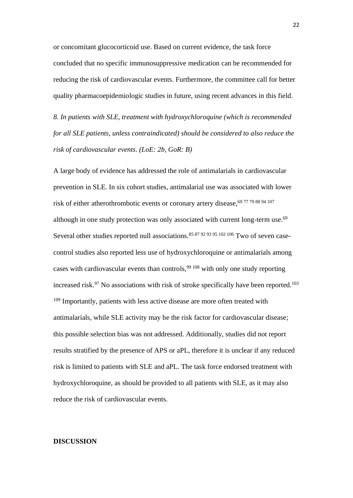or concomitant glucocorticoid use. Based on current evidence, the task force concluded that no specific immunosuppressive medication can be recommended for reducing the risk of cardiovascular events. Furthermore, the committee call for better quality pharmacoepidemiologic studies in future, using recent advances in this field.

*8. In patients with SLE, treatment with hydroxychloroquine (which is recommended for all SLE patients, unless contraindicated) should be considered to also reduce the risk of cardiovascular events*. *(LoE: 2b, GoR: B)*

A large body of evidence has addressed the role of antimalarials in cardiovascular prevention in SLE. In six cohort studies, antimalarial use was associated with lower risk of either atherothrombotic events or coronary artery disease, <sup>69 77 79 88 94 107</sup> although in one study protection was only associated with current long-term use. 69 Several other studies reported null associations.<sup>85 87 92 93 95 102 106</sup> Two of seven casecontrol studies also reported less use of hydroxychloroquine or antimalarials among cases with cardiovascular events than controls,  $99\frac{108}{108}$  with only one study reporting increased risk. $97$  No associations with risk of stroke specifically have been reported.<sup>103</sup> <sup>109</sup> Importantly, patients with less active disease are more often treated with antimalarials, while SLE activity may be the risk factor for cardiovascular disease; this possible selection bias was not addressed. Additionally, studies did not report results stratified by the presence of APS or aPL, therefore it is unclear if any reduced risk is limited to patients with SLE and aPL. The task force endorsed treatment with hydroxychloroquine, as should be provided to all patients with SLE, as it may also reduce the risk of cardiovascular events.

#### **DISCUSSION**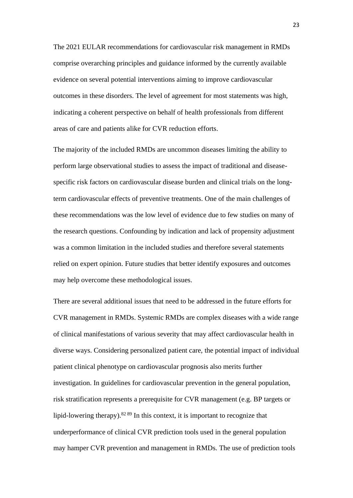The 2021 EULAR recommendations for cardiovascular risk management in RMDs comprise overarching principles and guidance informed by the currently available evidence on several potential interventions aiming to improve cardiovascular outcomes in these disorders. The level of agreement for most statements was high, indicating a coherent perspective on behalf of health professionals from different areas of care and patients alike for CVR reduction efforts.

The majority of the included RMDs are uncommon diseases limiting the ability to perform large observational studies to assess the impact of traditional and diseasespecific risk factors on cardiovascular disease burden and clinical trials on the longterm cardiovascular effects of preventive treatments. One of the main challenges of these recommendations was the low level of evidence due to few studies on many of the research questions. Confounding by indication and lack of propensity adjustment was a common limitation in the included studies and therefore several statements relied on expert opinion. Future studies that better identify exposures and outcomes may help overcome these methodological issues.

There are several additional issues that need to be addressed in the future efforts for CVR management in RMDs. Systemic RMDs are complex diseases with a wide range of clinical manifestations of various severity that may affect cardiovascular health in diverse ways. Considering personalized patient care, the potential impact of individual patient clinical phenotype on cardiovascular prognosis also merits further investigation. In guidelines for cardiovascular prevention in the general population, risk stratification represents a prerequisite for CVR management (e.g. BP targets or lipid-lowering therapy). $82 89$  In this context, it is important to recognize that underperformance of clinical CVR prediction tools used in the general population may hamper CVR prevention and management in RMDs. The use of prediction tools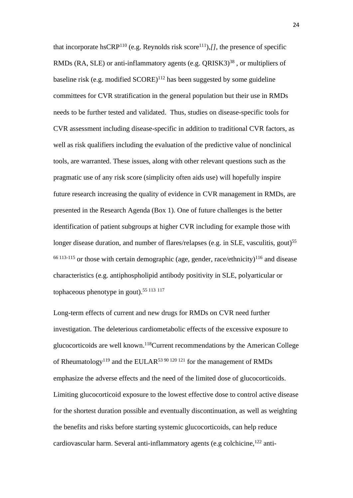that incorporate hsCRP<sup>110</sup> (e.g. Reynolds risk score<sup>111</sup>),*[]*, the presence of specific RMDs (RA, SLE) or anti-inflammatory agents (e.g. QRISK3)<sup>38</sup>, or multipliers of baseline risk (e.g. modified  $SCORE$ )<sup>112</sup> has been suggested by some guideline committees for CVR stratification in the general population but their use in RMDs needs to be further tested and validated. Thus, studies on disease-specific tools for CVR assessment including disease-specific in addition to traditional CVR factors, as well as risk qualifiers including the evaluation of the predictive value of nonclinical tools, are warranted. These issues, along with other relevant questions such as the pragmatic use of any risk score (simplicity often aids use) will hopefully inspire future research increasing the quality of evidence in CVR management in RMDs, are presented in the Research Agenda (Box 1). One of future challenges is the better identification of patient subgroups at higher CVR including for example those with longer disease duration, and number of flares/relapses (e.g. in SLE, vasculitis, gout)<sup>55</sup>  $66$ <sup>113-115</sup> or those with certain demographic (age, gender, race/ethnicity)<sup>116</sup> and disease characteristics (e.g. antiphospholipid antibody positivity in SLE, polyarticular or tophaceous phenotype in gout).55 113 <sup>117</sup>

Long-term effects of current and new drugs for RMDs on CVR need further investigation. The deleterious cardiometabolic effects of the excessive exposure to glucocorticoids are well known. <sup>118</sup>Current recommendations by the American College of Rheumatology<sup>119</sup> and the EULAR<sup>53 90 120 121</sup> for the management of RMDs emphasize the adverse effects and the need of the limited dose of glucocorticoids. Limiting glucocorticoid exposure to the lowest effective dose to control active disease for the shortest duration possible and eventually discontinuation, as well as weighting the benefits and risks before starting systemic glucocorticoids, can help reduce cardiovascular harm. Several anti-inflammatory agents (e.g colchicine,<sup>122</sup> anti-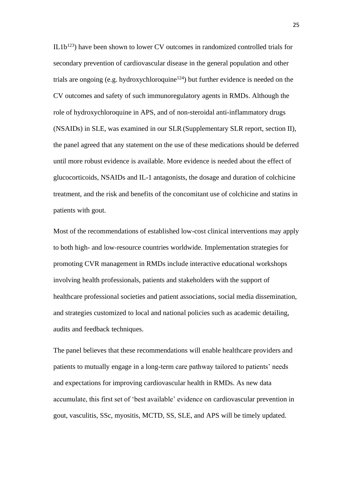$IL1b<sup>123</sup>$ ) have been shown to lower CV outcomes in randomized controlled trials for secondary prevention of cardiovascular disease in the general population and other trials are ongoing (e.g. hydroxychloroquine<sup>124</sup>) but further evidence is needed on the CV outcomes and safety of such immunoregulatory agents in RMDs. Although the role of hydroxychloroquine in APS, and of non-steroidal anti-inflammatory drugs (NSAIDs) in SLE, was examined in our SLR (Supplementary SLR report, section II), the panel agreed that any statement on the use of these medications should be deferred until more robust evidence is available. More evidence is needed about the effect of glucocorticoids, NSAIDs and IL-1 antagonists, the dosage and duration of colchicine treatment, and the risk and benefits of the concomitant use of colchicine and statins in patients with gout.

Most of the recommendations of established low-cost clinical interventions may apply to both high- and low-resource countries worldwide. Implementation strategies for promoting CVR management in RMDs include interactive educational workshops involving health professionals, patients and stakeholders with the support of healthcare professional societies and patient associations, social media dissemination, and strategies customized to local and national policies such as academic detailing, audits and feedback techniques.

The panel believes that these recommendations will enable healthcare providers and patients to mutually engage in a long-term care pathway tailored to patients' needs and expectations for improving cardiovascular health in RMDs. As new data accumulate, this first set of 'best available' evidence on cardiovascular prevention in gout, vasculitis, SSc, myositis, MCTD, SS, SLE, and APS will be timely updated.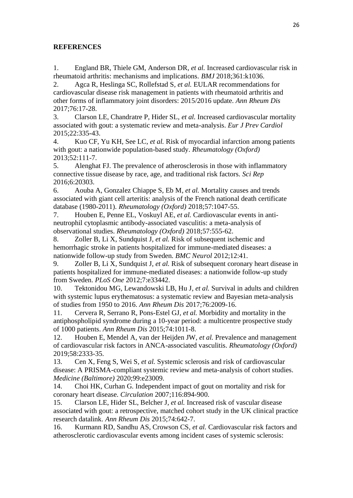# **REFERENCES**

1. England BR, Thiele GM, Anderson DR*, et al.* Increased cardiovascular risk in rheumatoid arthritis: mechanisms and implications. *BMJ* 2018;361:k1036.

2. Agca R, Heslinga SC, Rollefstad S*, et al.* EULAR recommendations for cardiovascular disease risk management in patients with rheumatoid arthritis and other forms of inflammatory joint disorders: 2015/2016 update. *Ann Rheum Dis* 2017;76:17-28.

3. Clarson LE, Chandratre P, Hider SL*, et al.* Increased cardiovascular mortality associated with gout: a systematic review and meta-analysis. *Eur J Prev Cardiol* 2015;22:335-43.

4. Kuo CF, Yu KH, See LC*, et al.* Risk of myocardial infarction among patients with gout: a nationwide population-based study. *Rheumatology (Oxford)* 2013;52:111-7.

5. Alenghat FJ. The prevalence of atherosclerosis in those with inflammatory connective tissue disease by race, age, and traditional risk factors. *Sci Rep* 2016;6:20303.

6. Aouba A, Gonzalez Chiappe S, Eb M*, et al.* Mortality causes and trends associated with giant cell arteritis: analysis of the French national death certificate database (1980-2011). *Rheumatology (Oxford)* 2018;57:1047-55.

7. Houben E, Penne EL, Voskuyl AE*, et al.* Cardiovascular events in antineutrophil cytoplasmic antibody-associated vasculitis: a meta-analysis of observational studies. *Rheumatology (Oxford)* 2018;57:555-62.

8. Zoller B, Li X, Sundquist J*, et al.* Risk of subsequent ischemic and hemorrhagic stroke in patients hospitalized for immune-mediated diseases: a nationwide follow-up study from Sweden. *BMC Neurol* 2012;12:41.

9. Zoller B, Li X, Sundquist J*, et al.* Risk of subsequent coronary heart disease in patients hospitalized for immune-mediated diseases: a nationwide follow-up study from Sweden. *PLoS One* 2012;7:e33442.

10. Tektonidou MG, Lewandowski LB, Hu J*, et al.* Survival in adults and children with systemic lupus erythematosus: a systematic review and Bayesian meta-analysis of studies from 1950 to 2016. *Ann Rheum Dis* 2017;76:2009-16.

11. Cervera R, Serrano R, Pons-Estel GJ*, et al.* Morbidity and mortality in the antiphospholipid syndrome during a 10-year period: a multicentre prospective study of 1000 patients. *Ann Rheum Dis* 2015;74:1011-8.

12. Houben E, Mendel A, van der Heijden JW*, et al.* Prevalence and management of cardiovascular risk factors in ANCA-associated vasculitis. *Rheumatology (Oxford)* 2019;58:2333-35.

13. Cen X, Feng S, Wei S*, et al.* Systemic sclerosis and risk of cardiovascular disease: A PRISMA-compliant systemic review and meta-analysis of cohort studies. *Medicine (Baltimore)* 2020;99:e23009.

14. Choi HK, Curhan G. Independent impact of gout on mortality and risk for coronary heart disease. *Circulation* 2007;116:894-900.

15. Clarson LE, Hider SL, Belcher J*, et al.* Increased risk of vascular disease associated with gout: a retrospective, matched cohort study in the UK clinical practice research datalink. *Ann Rheum Dis* 2015;74:642-7.

16. Kurmann RD, Sandhu AS, Crowson CS*, et al.* Cardiovascular risk factors and atherosclerotic cardiovascular events among incident cases of systemic sclerosis: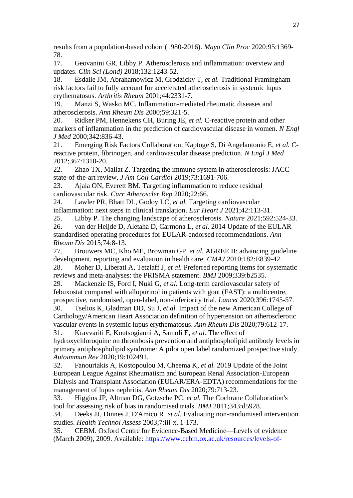results from a population-based cohort (1980-2016). *Mayo Clin Proc* 2020;95:1369- 78.

17. Geovanini GR, Libby P. Atherosclerosis and inflammation: overview and updates. *Clin Sci (Lond)* 2018;132:1243-52.

18. Esdaile JM, Abrahamowicz M, Grodzicky T*, et al.* Traditional Framingham risk factors fail to fully account for accelerated atherosclerosis in systemic lupus erythematosus. *Arthritis Rheum* 2001;44:2331-7.

19. Manzi S, Wasko MC. Inflammation-mediated rheumatic diseases and atherosclerosis. *Ann Rheum Dis* 2000;59:321-5.

20. Ridker PM, Hennekens CH, Buring JE*, et al.* C-reactive protein and other markers of inflammation in the prediction of cardiovascular disease in women. *N Engl J Med* 2000;342:836-43.

21. Emerging Risk Factors Collaboration; Kaptoge S, Di Angelantonio E*, et al.* Creactive protein, fibrinogen, and cardiovascular disease prediction. *N Engl J Med* 2012;367:1310-20.

22. Zhao TX, Mallat Z. Targeting the immune system in atherosclerosis: JACC state-of-the-art review. *J Am Coll Cardiol* 2019;73:1691-706.

23. Ajala ON, Everett BM. Targeting inflammation to reduce residual cardiovascular risk. *Curr Atheroscler Rep* 2020;22:66.

24. Lawler PR, Bhatt DL, Godoy LC*, et al.* Targeting cardiovascular inflammation: next steps in clinical translation. *Eur Heart J* 2021;42:113-31.

25. Libby P. The changing landscape of atherosclerosis. *Nature* 2021;592:524-33.

26. van der Heijde D, Aletaha D, Carmona L*, et al.* 2014 Update of the EULAR standardised operating procedures for EULAR-endorsed recommendations. *Ann Rheum Dis* 2015;74:8-13.

27. Brouwers MC, Kho ME, Browman GP*, et al.* AGREE II: advancing guideline development, reporting and evaluation in health care. *CMAJ* 2010;182:E839-42.

28. Moher D, Liberati A, Tetzlaff J*, et al.* Preferred reporting items for systematic reviews and meta-analyses: the PRISMA statement. *BMJ* 2009;339:b2535.

29. Mackenzie IS, Ford I, Nuki G*, et al.* Long-term cardiovascular safety of febuxostat compared with allopurinol in patients with gout (FAST): a multicentre, prospective, randomised, open-label, non-inferiority trial. *Lancet* 2020;396:1745-57.

30. Tselios K, Gladman DD, Su J*, et al.* Impact of the new American College of Cardiology/American Heart Association definition of hypertension on atherosclerotic vascular events in systemic lupus erythematosus. *Ann Rheum Dis* 2020;79:612-17. 31. Kravvariti E, Koutsogianni A, Samoli E*, et al.* The effect of

hydroxychloroquine on thrombosis prevention and antiphospholipid antibody levels in primary antiphospholipid syndrome: A pilot open label randomized prospective study. *Autoimmun Rev* 2020;19:102491.

32. Fanouriakis A, Kostopoulou M, Cheema K*, et al.* 2019 Update of the Joint European League Against Rheumatism and European Renal Association-European Dialysis and Transplant Association (EULAR/ERA-EDTA) recommendations for the management of lupus nephritis. *Ann Rheum Dis* 2020;79:713-23.

33. Higgins JP, Altman DG, Gotzsche PC*, et al.* The Cochrane Collaboration's tool for assessing risk of bias in randomised trials. *BMJ* 2011;343:d5928.

34. Deeks JJ, Dinnes J, D'Amico R*, et al.* Evaluating non-randomised intervention studies. *Health Technol Assess* 2003;7:iii-x, 1-173.

35. CEBM. Oxford Centre for Evidence-Based Medicine—Levels of evidence (March 2009), 2009. Available: [https://www.cebm.ox.ac.uk/resources/levels-of-](https://www.cebm.ox.ac.uk/resources/levels-of-evidence/oxford-centre-for-evidence-based-medicine-levels-of-evidence-march-2009)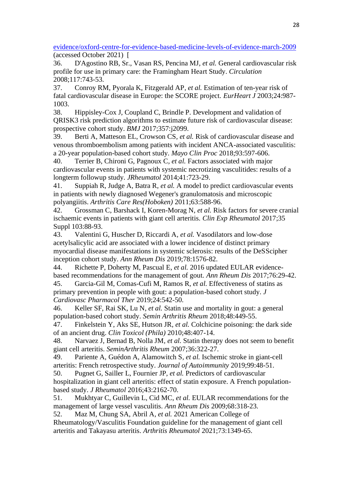[evidence/oxford-centre-for-evidence-based-medicine-levels-of-evidence-march-2009](https://www.cebm.ox.ac.uk/resources/levels-of-evidence/oxford-centre-for-evidence-based-medicine-levels-of-evidence-march-2009) (accessed October 2021) [

36. D'Agostino RB, Sr., Vasan RS, Pencina MJ*, et al.* General cardiovascular risk profile for use in primary care: the Framingham Heart Study. *Circulation* 2008;117:743-53.

37. Conroy RM, Pyorala K, Fitzgerald AP*, et al.* Estimation of ten-year risk of fatal cardiovascular disease in Europe: the SCORE project. *EurHeart J* 2003;24:987- 1003.

38. Hippisley-Cox J, Coupland C, Brindle P. Development and validation of QRISK3 risk prediction algorithms to estimate future risk of cardiovascular disease: prospective cohort study. *BMJ* 2017;357:j2099.

39. Berti A, Matteson EL, Crowson CS*, et al.* Risk of cardiovascular disease and venous thromboembolism among patients with incident ANCA-associated vasculitis: a 20-year population-based cohort study. *Mayo Clin Proc* 2018;93:597-606.

40. Terrier B, Chironi G, Pagnoux C*, et al.* Factors associated with major cardiovascular events in patients with systemic necrotizing vasculitides: results of a longterm followup study. *JRheumatol* 2014;41:723-29.

41. Suppiah R, Judge A, Batra R*, et al.* A model to predict cardiovascular events in patients with newly diagnosed Wegener's granulomatosis and microscopic polyangiitis. *Arthritis Care Res(Hoboken)* 2011;63:588-96.

42. Grossman C, Barshack I, Koren-Morag N*, et al.* Risk factors for severe cranial ischaemic events in patients with giant cell arteritis. *Clin Exp Rheumatol* 2017;35 Suppl 103:88-93.

43. Valentini G, Huscher D, Riccardi A*, et al.* Vasodilators and low-dose acetylsalicylic acid are associated with a lower incidence of distinct primary myocardial disease manifestations in systemic sclerosis: results of the DeSScipher inception cohort study. *Ann Rheum Dis* 2019;78:1576-82.

44. Richette P, Doherty M, Pascual E*, et al.* 2016 updated EULAR evidencebased recommendations for the management of gout. *Ann Rheum Dis* 2017;76:29-42.

45. Garcia-Gil M, Comas-Cufi M, Ramos R*, et al.* Effectiveness of statins as primary prevention in people with gout: a population-based cohort study. *J Cardiovasc Pharmacol Ther* 2019;24:542-50.

46. Keller SF, Rai SK, Lu N*, et al.* Statin use and mortality in gout: a general population-based cohort study. *Semin Arthritis Rheum* 2018;48:449-55.

47. Finkelstein Y, Aks SE, Hutson JR*, et al.* Colchicine poisoning: the dark side of an ancient drug. *Clin Toxicol (Phila)* 2010;48:407-14.

48. Narvaez J, Bernad B, Nolla JM*, et al.* Statin therapy does not seem to benefit giant cell arteritis. *SeminArthritis Rheum* 2007;36:322-27.

49. Pariente A, Guédon A, Alamowitch S*, et al.* Ischemic stroke in giant-cell arteritis: French retrospective study. *Journal of Autoimmunity* 2019;99:48-51.

50. Pugnet G, Sailler L, Fournier JP*, et al.* Predictors of cardiovascular hospitalization in giant cell arteritis: effect of statin exposure. A French populationbased study. *J Rheumatol* 2016;43:2162-70.

51. Mukhtyar C, Guillevin L, Cid MC*, et al.* EULAR recommendations for the management of large vessel vasculitis. *Ann Rheum Dis* 2009;68:318-23.

52. Maz M, Chung SA, Abril A*, et al.* 2021 American College of Rheumatology/Vasculitis Foundation guideline for the management of giant cell arteritis and Takayasu arteritis. *Arthritis Rheumatol* 2021;73:1349-65.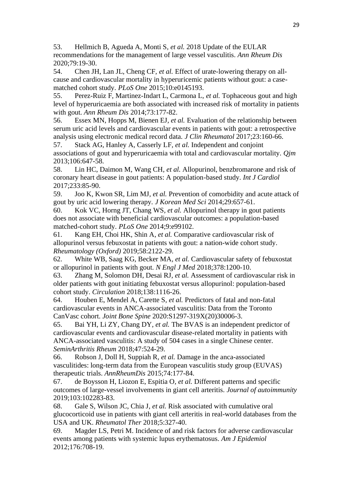53. Hellmich B, Agueda A, Monti S*, et al.* 2018 Update of the EULAR recommendations for the management of large vessel vasculitis. *Ann Rheum Dis* 2020;79:19-30.

54. Chen JH, Lan JL, Cheng CF*, et al.* Effect of urate-lowering therapy on allcause and cardiovascular mortality in hyperuricemic patients without gout: a casematched cohort study. *PLoS One* 2015;10:e0145193.

55. Perez-Ruiz F, Martinez-Indart L, Carmona L*, et al.* Tophaceous gout and high level of hyperuricaemia are both associated with increased risk of mortality in patients with gout. *Ann Rheum Dis* 2014;73:177-82.

56. Essex MN, Hopps M, Bienen EJ*, et al.* Evaluation of the relationship between serum uric acid levels and cardiovascular events in patients with gout: a retrospective analysis using electronic medical record data. *J Clin Rheumatol* 2017;23:160-66.

57. Stack AG, Hanley A, Casserly LF*, et al.* Independent and conjoint associations of gout and hyperuricaemia with total and cardiovascular mortality. *Qjm* 2013;106:647-58.

58. Lin HC, Daimon M, Wang CH*, et al.* Allopurinol, benzbromarone and risk of coronary heart disease in gout patients: A population-based study. *Int J Cardiol* 2017;233:85-90.

59. Joo K, Kwon SR, Lim MJ*, et al.* Prevention of comorbidity and acute attack of gout by uric acid lowering therapy. *J Korean Med Sci* 2014;29:657-61.

60. Kok VC, Horng JT, Chang WS*, et al.* Allopurinol therapy in gout patients does not associate with beneficial cardiovascular outcomes: a population-based matched-cohort study. *PLoS One* 2014;9:e99102.

61. Kang EH, Choi HK, Shin A*, et al.* Comparative cardiovascular risk of allopurinol versus febuxostat in patients with gout: a nation-wide cohort study. *Rheumatology (Oxford)* 2019;58:2122-29.

62. White WB, Saag KG, Becker MA*, et al.* Cardiovascular safety of febuxostat or allopurinol in patients with gout. *N Engl J Med* 2018;378:1200-10.

63. Zhang M, Solomon DH, Desai RJ*, et al.* Assessment of cardiovascular risk in older patients with gout initiating febuxostat versus allopurinol: population-based cohort study. *Circulation* 2018;138:1116-26.

64. Houben E, Mendel A, Carette S*, et al.* Predictors of fatal and non-fatal cardiovascular events in ANCA-associated vasculitis: Data from the Toronto CanVasc cohort. *Joint Bone Spine* 2020:S1297-319X(20)30006-3.

65. Bai YH, Li ZY, Chang DY*, et al.* The BVAS is an independent predictor of cardiovascular events and cardiovascular disease-related mortality in patients with ANCA-associated vasculitis: A study of 504 cases in a single Chinese center. *SeminArthritis Rheum* 2018;47:524-29.

66. Robson J, Doll H, Suppiah R*, et al.* Damage in the anca-associated vasculitides: long-term data from the European vasculitis study group (EUVAS) therapeutic trials. *AnnRheumDis* 2015;74:177-84.

67. de Boysson H, Liozon E, Espitia O*, et al.* Different patterns and specific outcomes of large-vessel involvements in giant cell arteritis. *Journal of autoimmunity* 2019;103:102283-83.

68. Gale S, Wilson JC, Chia J*, et al.* Risk associated with cumulative oral glucocorticoid use in patients with giant cell arteritis in real-world databases from the USA and UK. *Rheumatol Ther* 2018;5:327-40.

69. Magder LS, Petri M. Incidence of and risk factors for adverse cardiovascular events among patients with systemic lupus erythematosus. *Am J Epidemiol* 2012;176:708-19.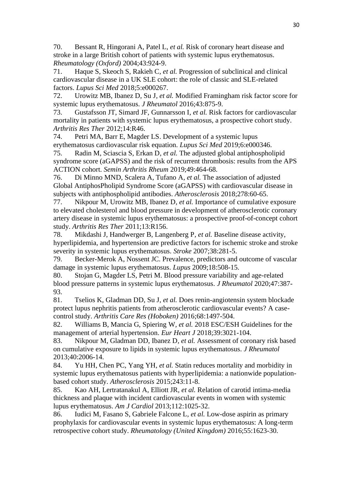70. Bessant R, Hingorani A, Patel L*, et al.* Risk of coronary heart disease and stroke in a large British cohort of patients with systemic lupus erythematosus. *Rheumatology (Oxford)* 2004;43:924-9.

71. Haque S, Skeoch S, Rakieh C*, et al.* Progression of subclinical and clinical cardiovascular disease in a UK SLE cohort: the role of classic and SLE-related factors. *Lupus Sci Med* 2018;5:e000267.

72. Urowitz MB, Ibanez D, Su J*, et al.* Modified Framingham risk factor score for systemic lupus erythematosus. *J Rheumatol* 2016;43:875-9.

73. Gustafsson JT, Simard JF, Gunnarsson I*, et al.* Risk factors for cardiovascular mortality in patients with systemic lupus erythematosus, a prospective cohort study. *Arthritis Res Ther* 2012;14:R46.

74. Petri MA, Barr E, Magder LS. Development of a systemic lupus

erythematosus cardiovascular risk equation. *Lupus Sci Med* 2019;6:e000346.

75. Radin M, Sciascia S, Erkan D*, et al.* The adjusted global antiphospholipid syndrome score (aGAPSS) and the risk of recurrent thrombosis: results from the APS ACTION cohort. *Semin Arthritis Rheum* 2019;49:464-68.

76. Di Minno MND, Scalera A, Tufano A*, et al.* The association of adjusted Global AntiphosPholipid Syndrome Score (aGAPSS) with cardiovascular disease in subjects with antiphospholipid antibodies. *Atherosclerosis* 2018;278:60-65.

77. Nikpour M, Urowitz MB, Ibanez D*, et al.* Importance of cumulative exposure to elevated cholesterol and blood pressure in development of atherosclerotic coronary artery disease in systemic lupus erythematosus: a prospective proof-of-concept cohort study. *Arthritis Res Ther* 2011;13:R156.

78. Mikdashi J, Handwerger B, Langenberg P*, et al.* Baseline disease activity, hyperlipidemia, and hypertension are predictive factors for ischemic stroke and stroke severity in systemic lupus erythematosus. *Stroke* 2007;38:281-5.

79. Becker-Merok A, Nossent JC. Prevalence, predictors and outcome of vascular damage in systemic lupus erythematosus. *Lupus* 2009;18:508-15.

80. Stojan G, Magder LS, Petri M. Blood pressure variability and age-related blood pressure patterns in systemic lupus erythematosus. *J Rheumatol* 2020;47:387- 93.

81. Tselios K, Gladman DD, Su J*, et al.* Does renin-angiotensin system blockade protect lupus nephritis patients from atherosclerotic cardiovascular events? A casecontrol study. *Arthritis Care Res (Hoboken)* 2016;68:1497-504.

82. Williams B, Mancia G, Spiering W*, et al.* 2018 ESC/ESH Guidelines for the management of arterial hypertension. *Eur Heart J* 2018;39:3021-104.

83. Nikpour M, Gladman DD, Ibanez D*, et al.* Assessment of coronary risk based on cumulative exposure to lipids in systemic lupus erythematosus. *J Rheumatol* 2013;40:2006-14.

84. Yu HH, Chen PC, Yang YH*, et al.* Statin reduces mortality and morbidity in systemic lupus erythematosus patients with hyperlipidemia: a nationwide populationbased cohort study. *Atherosclerosis* 2015;243:11-8.

85. Kao AH, Lertratanakul A, Elliott JR*, et al.* Relation of carotid intima-media thickness and plaque with incident cardiovascular events in women with systemic lupus erythematosus. *Am J Cardiol* 2013;112:1025-32.

86. Iudici M, Fasano S, Gabriele Falcone L*, et al.* Low-dose aspirin as primary prophylaxis for cardiovascular events in systemic lupus erythematosus: A long-term retrospective cohort study. *Rheumatology (United Kingdom)* 2016;55:1623-30.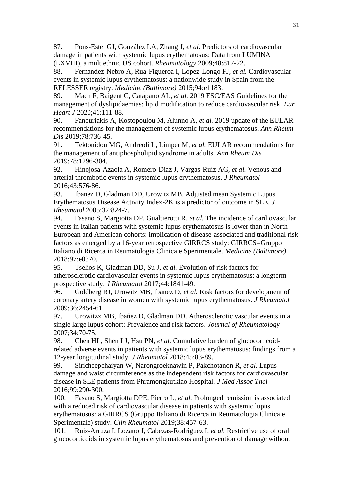87. Pons-Estel GJ, González LA, Zhang J*, et al.* Predictors of cardiovascular damage in patients with systemic lupus erythematosus: Data from LUMINA (LXVIII), a multiethnic US cohort. *Rheumatology* 2009;48:817-22.

88. Fernandez-Nebro A, Rua-Figueroa I, Lopez-Longo FJ*, et al.* Cardiovascular events in systemic lupus erythematosus: a nationwide study in Spain from the RELESSER registry. *Medicine (Baltimore)* 2015;94:e1183.

89. Mach F, Baigent C, Catapano AL*, et al.* 2019 ESC/EAS Guidelines for the management of dyslipidaemias: lipid modification to reduce cardiovascular risk. *Eur Heart J* 2020;41:111-88.

90. Fanouriakis A, Kostopoulou M, Alunno A*, et al.* 2019 update of the EULAR recommendations for the management of systemic lupus erythematosus. *Ann Rheum Dis* 2019;78:736-45.

91. Tektonidou MG, Andreoli L, Limper M*, et al.* EULAR recommendations for the management of antiphospholipid syndrome in adults. *Ann Rheum Dis* 2019;78:1296-304.

92. Hinojosa-Azaola A, Romero-Diaz J, Vargas-Ruiz AG*, et al.* Venous and arterial thrombotic events in systemic lupus erythematosus. *J Rheumatol* 2016;43:576-86.

93. Ibanez D, Gladman DD, Urowitz MB. Adjusted mean Systemic Lupus Erythematosus Disease Activity Index-2K is a predictor of outcome in SLE. *J Rheumatol* 2005;32:824-7.

94. Fasano S, Margiotta DP, Gualtierotti R*, et al.* The incidence of cardiovascular events in Italian patients with systemic lupus erythematosus is lower than in North European and American cohorts: implication of disease-associated and traditional risk factors as emerged by a 16-year retrospective GIRRCS study: GIRRCS=Gruppo Italiano di Ricerca in Reumatologia Clinica e Sperimentale. *Medicine (Baltimore)* 2018;97:e0370.

95. Tselios K, Gladman DD, Su J*, et al.* Evolution of risk factors for atherosclerotic cardiovascular events in systemic lupus erythematosus: a longterm prospective study. *J Rheumatol* 2017;44:1841-49.

96. Goldberg RJ, Urowitz MB, Ibanez D*, et al.* Risk factors for development of coronary artery disease in women with systemic lupus erythematosus. *J Rheumatol* 2009;36:2454-61.

97. Urowitzx MB, Ibañez D, Gladman DD. Atherosclerotic vascular events in a single large lupus cohort: Prevalence and risk factors. *Journal of Rheumatology* 2007;34:70-75.

98. Chen HL, Shen LJ, Hsu PN*, et al.* Cumulative burden of glucocorticoidrelated adverse events in patients with systemic lupus erythematosus: findings from a 12-year longitudinal study. *J Rheumatol* 2018;45:83-89.

99. Siricheepchaiyan W, Narongroeknawin P, Pakchotanon R*, et al.* Lupus damage and waist circumference as the independent risk factors for cardiovascular disease in SLE patients from Phramongkutklao Hospital. *J Med Assoc Thai* 2016;99:290-300.

100. Fasano S, Margiotta DPE, Pierro L*, et al.* Prolonged remission is associated with a reduced risk of cardiovascular disease in patients with systemic lupus erythematosus: a GIRRCS (Gruppo Italiano di Ricerca in Reumatologia Clinica e Sperimentale) study. *Clin Rheumatol* 2019;38:457-63.

101. Ruiz-Arruza I, Lozano J, Cabezas-Rodriguez I*, et al.* Restrictive use of oral glucocorticoids in systemic lupus erythematosus and prevention of damage without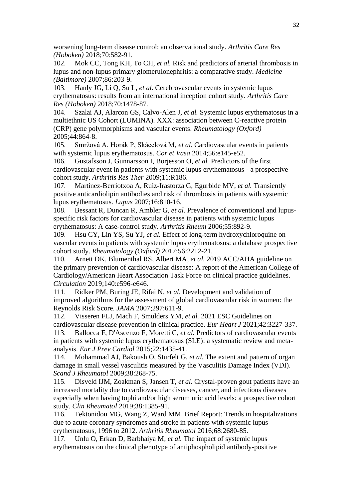worsening long-term disease control: an observational study. *Arthritis Care Res (Hoboken)* 2018;70:582-91.

102. Mok CC, Tong KH, To CH*, et al.* Risk and predictors of arterial thrombosis in lupus and non-lupus primary glomerulonephritis: a comparative study. *Medicine (Baltimore)* 2007;86:203-9.

103. Hanly JG, Li Q, Su L*, et al.* Cerebrovascular events in systemic lupus erythematosus: results from an international inception cohort study. *Arthritis Care Res (Hoboken)* 2018;70:1478-87.

104. Szalai AJ, Alarcon GS, Calvo-Alen J*, et al.* Systemic lupus erythematosus in a multiethnic US Cohort (LUMINA). XXX: association between C-reactive protein (CRP) gene polymorphisms and vascular events. *Rheumatology (Oxford)* 2005;44:864-8.

105. Smržová A, Horák P, Skácelová M*, et al.* Cardiovascular events in patients with systemic lupus erythematosus. *Cor et Vasa* 2014;56:e145-e52.

106. Gustafsson J, Gunnarsson I, Borjesson O*, et al.* Predictors of the first cardiovascular event in patients with systemic lupus erythematosus - a prospective cohort study. *Arthritis Res Ther* 2009;11:R186.

107. Martinez-Berriotxoa A, Ruiz-Irastorza G, Egurbide MV*, et al.* Transiently positive anticardiolipin antibodies and risk of thrombosis in patients with systemic lupus erythematosus. *Lupus* 2007;16:810-16.

108. Bessant R, Duncan R, Ambler G*, et al.* Prevalence of conventional and lupusspecific risk factors for cardiovascular disease in patients with systemic lupus erythematosus: A case-control study. *Arthritis Rheum* 2006;55:892-9.

109. Hsu CY, Lin YS, Su YJ*, et al.* Effect of long-term hydroxychloroquine on vascular events in patients with systemic lupus erythematosus: a database prospective cohort study. *Rheumatology (Oxford)* 2017;56:2212-21.

110. Arnett DK, Blumenthal RS, Albert MA*, et al.* 2019 ACC/AHA guideline on the primary prevention of cardiovascular disease: A report of the American College of Cardiology/American Heart Association Task Force on clinical practice guidelines. *Circulation* 2019;140:e596-e646.

111. Ridker PM, Buring JE, Rifai N*, et al.* Development and validation of improved algorithms for the assessment of global cardiovascular risk in women: the Reynolds Risk Score. *JAMA* 2007;297:611-9.

112. Visseren FLJ, Mach F, Smulders YM*, et al.* 2021 ESC Guidelines on cardiovascular disease prevention in clinical practice. *Eur Heart J* 2021;42:3227-337.

113. Ballocca F, D'Ascenzo F, Moretti C*, et al.* Predictors of cardiovascular events in patients with systemic lupus erythematosus (SLE): a systematic review and metaanalysis. *Eur J Prev Cardiol* 2015;22:1435-41.

114. Mohammad AJ, Bakoush O, Sturfelt G*, et al.* The extent and pattern of organ damage in small vessel vasculitis measured by the Vasculitis Damage Index (VDI). *Scand J Rheumatol* 2009;38:268-75.

115. Disveld IJM, Zoakman S, Jansen T*, et al.* Crystal-proven gout patients have an increased mortality due to cardiovascular diseases, cancer, and infectious diseases especially when having tophi and/or high serum uric acid levels: a prospective cohort study. *Clin Rheumatol* 2019;38:1385-91.

116. Tektonidou MG, Wang Z, Ward MM. Brief Report: Trends in hospitalizations due to acute coronary syndromes and stroke in patients with systemic lupus erythematosus, 1996 to 2012. *Arthritis Rheumatol* 2016;68:2680-85.

117. Unlu O, Erkan D, Barbhaiya M*, et al.* The impact of systemic lupus erythematosus on the clinical phenotype of antiphospholipid antibody-positive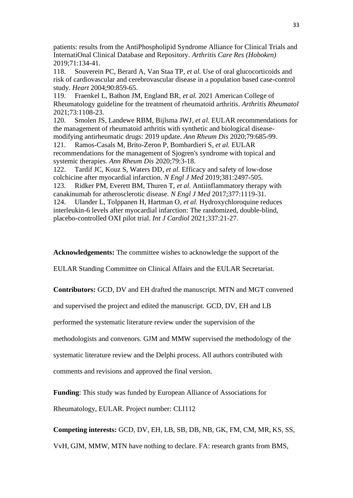patients: results from the AntiPhospholipid Syndrome Alliance for Clinical Trials and InternatiOnal Clinical Database and Repository. *Arthritis Care Res (Hoboken)* 2019;71:134-41.

118. Souverein PC, Berard A, Van Staa TP*, et al.* Use of oral glucocorticoids and risk of cardiovascular and cerebrovascular disease in a population based case-control study. *Heart* 2004;90:859-65.

119. Fraenkel L, Bathon JM, England BR*, et al.* 2021 American College of Rheumatology guideline for the treatment of rheumatoid arthritis. *Arthritis Rheumatol* 2021;73:1108-23.

120. Smolen JS, Landewe RBM, Bijlsma JWJ*, et al.* EULAR recommendations for the management of rheumatoid arthritis with synthetic and biological diseasemodifying antirheumatic drugs: 2019 update. *Ann Rheum Dis* 2020;79:685-99.

121. Ramos-Casals M, Brito-Zeron P, Bombardieri S*, et al.* EULAR recommendations for the management of Sjogren's syndrome with topical and systemic therapies. *Ann Rheum Dis* 2020;79:3-18.

122. Tardif JC, Kouz S, Waters DD*, et al.* Efficacy and safety of low-dose colchicine after myocardial infarction. *N Engl J Med* 2019;381:2497-505. 123. Ridker PM, Everett BM, Thuren T*, et al.* Antiinflammatory therapy with canakinumab for atherosclerotic disease. *N Engl J Med* 2017;377:1119-31. 124. Ulander L, Tolppanen H, Hartman O*, et al.* Hydroxychloroquine reduces interleukin-6 levels after myocardial infarction: The randomized, double-blind, placebo-controlled OXI pilot trial. *Int J Cardiol* 2021;337:21-27.

**Acknowledgements:** The committee wishes to acknowledge the support of the

EULAR Standing Committee on Clinical Affairs and the EULAR Secretariat.

**Contributors:** GCD, DV and EH drafted the manuscript. MTN and MGT convened

and supervised the project and edited the manuscript. GCD, DV, EH and LB

performed the systematic literature review under the supervision of the

methodologists and convenors. GJM and MMW supervised the methodology of the

systematic literature review and the Delphi process. All authors contributed with

comments and revisions and approved the final version.

**Funding**: This study was funded by European Alliance of Associations for

Rheumatology, EULAR. Project number: CLI112

**Competing interests:** GCD, DV, EH, LB, SB, DB, NB, GK, FM, CM, MR, KS, SS,

VvH, GJM, MMW, MTN have nothing to declare. FA: research grants from BMS,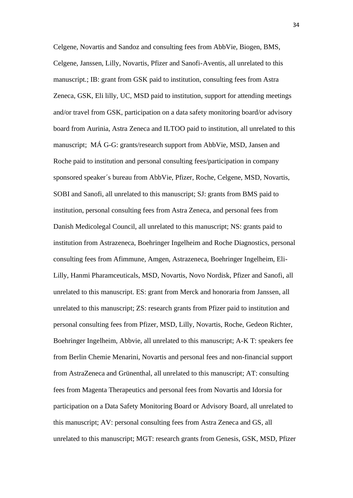Celgene, Novartis and Sandoz and consulting fees from AbbVie, Biogen, BMS, Celgene, Janssen, Lilly, Novartis, Pfizer and Sanofi-Aventis, all unrelated to this manuscript.; IB: grant from GSK paid to institution, consulting fees from Astra Zeneca, GSK, Eli lilly, UC, MSD paid to institution, support for attending meetings and/or travel from GSK, participation on a data safety monitoring board/or advisory board from Aurinia, Astra Zeneca and ILTOO paid to institution, all unrelated to this manuscript; MÁ G-G: grants/research support from AbbVie, MSD, Jansen and Roche paid to institution and personal consulting fees/participation in company sponsored speaker´s bureau from AbbVie, Pfizer, Roche, Celgene, MSD, Novartis, SOBI and Sanofi, all unrelated to this manuscript; SJ: grants from BMS paid to institution, personal consulting fees from Astra Zeneca, and personal fees from Danish Medicolegal Council, all unrelated to this manuscript; NS: grants paid to institution from Astrazeneca, Boehringer Ingelheim and Roche Diagnostics, personal consulting fees from Afimmune, Amgen, Astrazeneca, Boehringer Ingelheim, Eli-Lilly, Hanmi Pharamceuticals, MSD, Novartis, Novo Nordisk, Pfizer and Sanofi, all unrelated to this manuscript. ES: grant from Merck and honoraria from Janssen, all unrelated to this manuscript; ZS: research grants from Pfizer paid to institution and personal consulting fees from Pfizer, MSD, Lilly, Novartis, Roche, Gedeon Richter, Boehringer Ingelheim, Abbvie, all unrelated to this manuscript; A-K T: speakers fee from Berlin Chemie Menarini, Novartis and personal fees and non-financial support from AstraZeneca and Grünenthal, all unrelated to this manuscript; AT: consulting fees from Magenta Therapeutics and personal fees from Novartis and Idorsia for participation on a Data Safety Monitoring Board or Advisory Board, all unrelated to this manuscript; AV: personal consulting fees from Astra Zeneca and GS, all unrelated to this manuscript; MGT: research grants from Genesis, GSK, MSD, Pfizer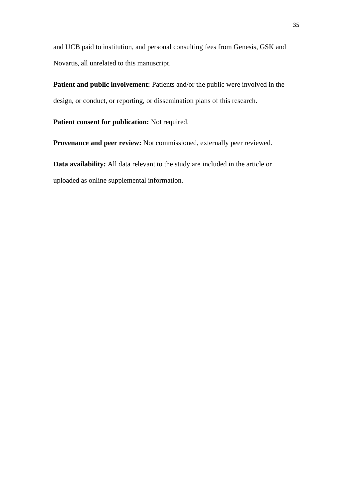and UCB paid to institution, and personal consulting fees from Genesis, GSK and Novartis, all unrelated to this manuscript.

**Patient and public involvement:** Patients and/or the public were involved in the design, or conduct, or reporting, or dissemination plans of this research.

**Patient consent for publication:** Not required.

**Provenance and peer review:** Not commissioned, externally peer reviewed.

**Data availability:** All data relevant to the study are included in the article or uploaded as online supplemental information.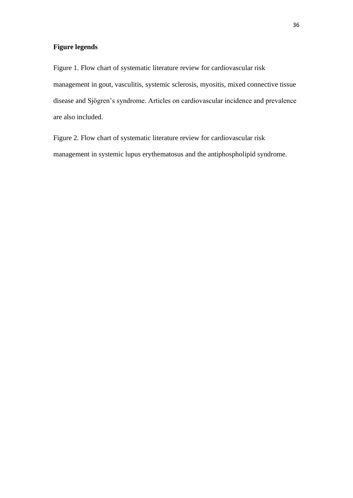# **Figure legends**

Figure 1. Flow chart of systematic literature review for cardiovascular risk management in gout, vasculitis, systemic sclerosis, myositis, mixed connective tissue disease and Sjögren's syndrome. Articles on cardiovascular incidence and prevalence are also included.

Figure 2. Flow chart of systematic literature review for cardiovascular risk management in systemic lupus erythematosus and the antiphospholipid syndrome.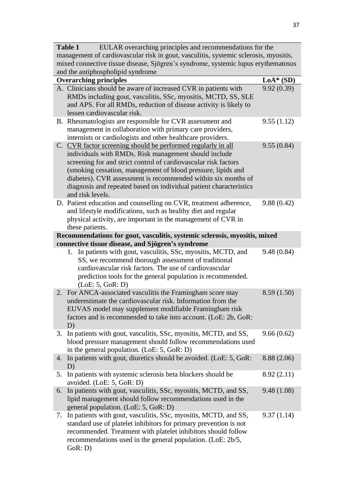| <b>Table 1</b><br>EULAR overarching principles and recommendations for the                                                                                                |                                                                                                                                                                                                                                                                                                                                                                                                                     |             |  |  |
|---------------------------------------------------------------------------------------------------------------------------------------------------------------------------|---------------------------------------------------------------------------------------------------------------------------------------------------------------------------------------------------------------------------------------------------------------------------------------------------------------------------------------------------------------------------------------------------------------------|-------------|--|--|
| management of cardiovascular risk in gout, vasculitis, systemic sclerosis, myositis,<br>mixed connective tissue disease, Sjögren's syndrome, systemic lupus erythematosus |                                                                                                                                                                                                                                                                                                                                                                                                                     |             |  |  |
|                                                                                                                                                                           | and the antiphospholipid syndrome                                                                                                                                                                                                                                                                                                                                                                                   |             |  |  |
|                                                                                                                                                                           | <b>Overarching principles</b>                                                                                                                                                                                                                                                                                                                                                                                       | $LoA*$ (SD) |  |  |
|                                                                                                                                                                           | A. Clinicians should be aware of increased CVR in patients with<br>RMDs including gout, vasculitis, SSc, myositis, MCTD, SS, SLE<br>and APS. For all RMDs, reduction of disease activity is likely to<br>lessen cardiovascular risk.                                                                                                                                                                                | 9.92(0.39)  |  |  |
|                                                                                                                                                                           | B. Rheumatologists are responsible for CVR assessment and<br>management in collaboration with primary care providers,<br>internists or cardiologists and other healthcare providers.                                                                                                                                                                                                                                | 9.55(1.12)  |  |  |
|                                                                                                                                                                           | C. CVR factor screening should be performed regularly in all<br>individuals with RMDs. Risk management should include<br>screening for and strict control of cardiovascular risk factors<br>(smoking cessation, management of blood pressure, lipids and<br>diabetes). CVR assessment is recommended within six months of<br>diagnosis and repeated based on individual patient characteristics<br>and risk levels. | 9.55(0.84)  |  |  |
|                                                                                                                                                                           | D. Patient education and counselling on CVR, treatment adherence,<br>and lifestyle modifications, such as healthy diet and regular<br>physical activity, are important in the management of CVR in<br>these patients.                                                                                                                                                                                               | 9.88(0.42)  |  |  |
|                                                                                                                                                                           | Recommendations for gout, vasculitis, systemic sclerosis, myositis, mixed<br>connective tissue disease, and Sjögren's syndrome                                                                                                                                                                                                                                                                                      |             |  |  |
|                                                                                                                                                                           | In patients with gout, vasculitis, SSc, myositis, MCTD, and<br>1.<br>SS, we recommend thorough assessment of traditional<br>cardiovascular risk factors. The use of cardiovascular<br>prediction tools for the general population is recommended.<br>(LoE: 5, GoR: D)                                                                                                                                               | 9.48(0.84)  |  |  |
| 2.                                                                                                                                                                        | For ANCA-associated vasculitis the Framingham score may<br>underestimate the cardiovascular risk. Information from the<br>EUVAS model may supplement modifiable Framingham risk<br>factors and is recommended to take into account. (LoE: 2b, GoR:<br>D)                                                                                                                                                            | 8.59(1.50)  |  |  |
| 3.                                                                                                                                                                        | In patients with gout, vasculitis, SSc, myositis, MCTD, and SS,<br>blood pressure management should follow recommendations used<br>in the general population. (LoE: 5, GoR: D)                                                                                                                                                                                                                                      | 9.66(0.62)  |  |  |
| 4.                                                                                                                                                                        | In patients with gout, diuretics should be avoided. (LoE: 5, GoR:<br>D)                                                                                                                                                                                                                                                                                                                                             | 8.88 (2.06) |  |  |
| 5.                                                                                                                                                                        | In patients with systemic sclerosis beta blockers should be<br>avoided. (LoE: 5, GoR: D)                                                                                                                                                                                                                                                                                                                            | 8.92(2.11)  |  |  |
| 6.                                                                                                                                                                        | In patients with gout, vasculitis, SSc, myositis, MCTD, and SS,<br>lipid management should follow recommendations used in the<br>general population. (LoE: 5, GoR: D)                                                                                                                                                                                                                                               | 9.48(1.08)  |  |  |
| 7.                                                                                                                                                                        | In patients with gout, vasculitis, SSc, myositis, MCTD, and SS,<br>standard use of platelet inhibitors for primary prevention is not<br>recommended. Treatment with platelet inhibitors should follow<br>recommendations used in the general population. (LoE: 2b/5,<br>GoR: D)                                                                                                                                     | 9.37(1.14)  |  |  |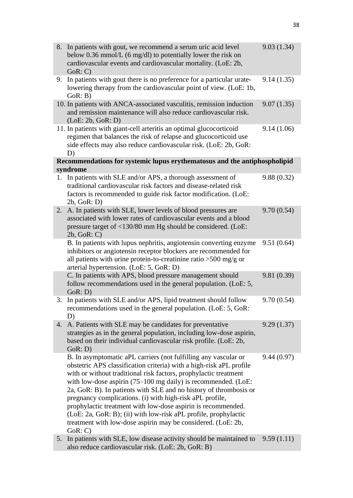| 8. | In patients with gout, we recommend a serum uric acid level<br>below 0.36 mmol/L (6 mg/dl) to potentially lower the risk on<br>cardiovascular events and cardiovascular mortality. (LoE: 2b,<br>GoR: C)                                                                                                                                                                                                                                                                                                                                                                                                                              | 9.03(1.34) |
|----|--------------------------------------------------------------------------------------------------------------------------------------------------------------------------------------------------------------------------------------------------------------------------------------------------------------------------------------------------------------------------------------------------------------------------------------------------------------------------------------------------------------------------------------------------------------------------------------------------------------------------------------|------------|
| 9. | In patients with gout there is no preference for a particular urate-<br>lowering therapy from the cardiovascular point of view. (LoE: 1b,<br>GoR: B)                                                                                                                                                                                                                                                                                                                                                                                                                                                                                 | 9.14(1.35) |
|    | 10. In patients with ANCA-associated vasculitis, remission induction<br>and remission maintenance will also reduce cardiovascular risk.<br>(LoE: 2b, GoR: D)                                                                                                                                                                                                                                                                                                                                                                                                                                                                         | 9.07(1.35) |
|    | 11. In patients with giant-cell arteritis an optimal glucocorticoid<br>regimen that balances the risk of relapse and glucocorticoid use<br>side effects may also reduce cardiovascular risk. (LoE: 2b, GoR:<br>D)                                                                                                                                                                                                                                                                                                                                                                                                                    | 9.14(1.06) |
|    | Recommendations for systemic lupus erythematosus and the antiphospholipid<br>syndrome                                                                                                                                                                                                                                                                                                                                                                                                                                                                                                                                                |            |
|    | 1. In patients with SLE and/or APS, a thorough assessment of<br>traditional cardiovascular risk factors and disease-related risk<br>factors is recommended to guide risk factor modification. (LoE:<br>2b, GoR: D)                                                                                                                                                                                                                                                                                                                                                                                                                   | 9.88(0.32) |
| 2. | A. In patients with SLE, lower levels of blood pressures are<br>associated with lower rates of cardiovascular events and a blood<br>pressure target of <130/80 mm Hg should be considered. (LoE:<br>2b, GoR: C)                                                                                                                                                                                                                                                                                                                                                                                                                      | 9.70(0.54) |
|    | B. In patients with lupus nephritis, angiotensin converting enzyme<br>inhibitors or angiotensin receptor blockers are recommended for<br>all patients with urine protein-to-creatinine ratio $>500$ mg/g or<br>arterial hypertension. (LoE: 5, GoR: D)                                                                                                                                                                                                                                                                                                                                                                               | 9.51(0.64) |
|    | C. In patients with APS, blood pressure management should<br>follow recommendations used in the general population. (LoE: 5,<br>GoR: D)                                                                                                                                                                                                                                                                                                                                                                                                                                                                                              | 9.81(0.39) |
| 3. | In patients with SLE and/or APS, lipid treatment should follow<br>recommendations used in the general population. (LoE: 5, GoR:<br>D)                                                                                                                                                                                                                                                                                                                                                                                                                                                                                                | 9.70(0.54) |
| 4. | A. Patients with SLE may be candidates for preventative<br>strategies as in the general population, including low-dose aspirin,<br>based on their individual cardiovascular risk profile. (LoE: 2b,<br>GoR: D)                                                                                                                                                                                                                                                                                                                                                                                                                       | 9.29(1.37) |
|    | B. In asymptomatic aPL carriers (not fulfilling any vascular or<br>obstetric APS classification criteria) with a high-risk aPL profile<br>with or without traditional risk factors, prophylactic treatment<br>with low-dose aspirin $(75-100 \text{ mg daily})$ is recommended. (LoE:<br>2a, GoR: B). In patients with SLE and no history of thrombosis or<br>pregnancy complications. (i) with high-risk aPL profile,<br>prophylactic treatment with low-dose aspirin is recommended.<br>(LoE: 2a, GoR: B); (ii) with low-risk aPL profile, prophylactic<br>treatment with low-dose aspirin may be considered. (LoE: 2b,<br>GoR: C) | 9.44(0.97) |
| 5. | In patients with SLE, low disease activity should be maintained to<br>also reduce cardiovascular risk. (LoE: 2b, GoR: B)                                                                                                                                                                                                                                                                                                                                                                                                                                                                                                             | 9.59(1.11) |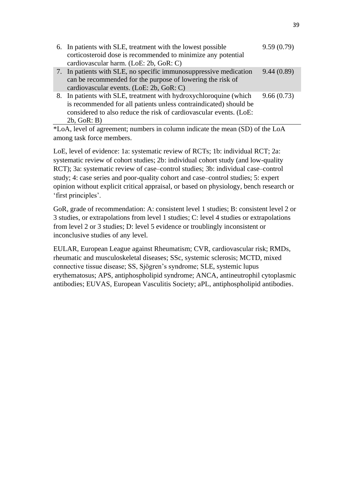| 6. In patients with SLE, treatment with the lowest possible<br>corticosteroid dose is recommended to minimize any potential<br>cardiovascular harm. (LoE: 2b, GoR: C)                                                       | 9.59(0.79) |
|-----------------------------------------------------------------------------------------------------------------------------------------------------------------------------------------------------------------------------|------------|
| 7. In patients with SLE, no specific immunosuppressive medication<br>can be recommended for the purpose of lowering the risk of<br>cardiovascular events. (LoE: 2b, GoR: C)                                                 | 9.44(0.89) |
| 8. In patients with SLE, treatment with hydroxychloroquine (which<br>is recommended for all patients unless contraindicated) should be<br>considered to also reduce the risk of cardiovascular events. (LoE:<br>2b, GoR: B) | 9.66(0.73) |

\*LoA, level of agreement; numbers in column indicate the mean (SD) of the LoA among task force members.

LoE, level of evidence: 1a: systematic review of RCTs; 1b: individual RCT; 2a: systematic review of cohort studies; 2b: individual cohort study (and low-quality RCT); 3a: systematic review of case–control studies; 3b: individual case–control study; 4: case series and poor-quality cohort and case–control studies; 5: expert opinion without explicit critical appraisal, or based on physiology, bench research or 'first principles'.

GoR, grade of recommendation: A: consistent level 1 studies; B: consistent level 2 or 3 studies, or extrapolations from level 1 studies; C: level 4 studies or extrapolations from level 2 or 3 studies; D: level 5 evidence or troublingly inconsistent or inconclusive studies of any level.

EULAR, European League against Rheumatism; CVR, cardiovascular risk; RMDs, rheumatic and musculoskeletal diseases; SSc, systemic sclerosis; MCTD, mixed connective tissue disease; SS, Sjögren's syndrome; SLE, systemic lupus erythematosus; APS, antiphospholipid syndrome; ANCA, antineutrophil cytoplasmic antibodies; EUVAS, European Vasculitis Society; aPL, antiphospholipid antibodies.